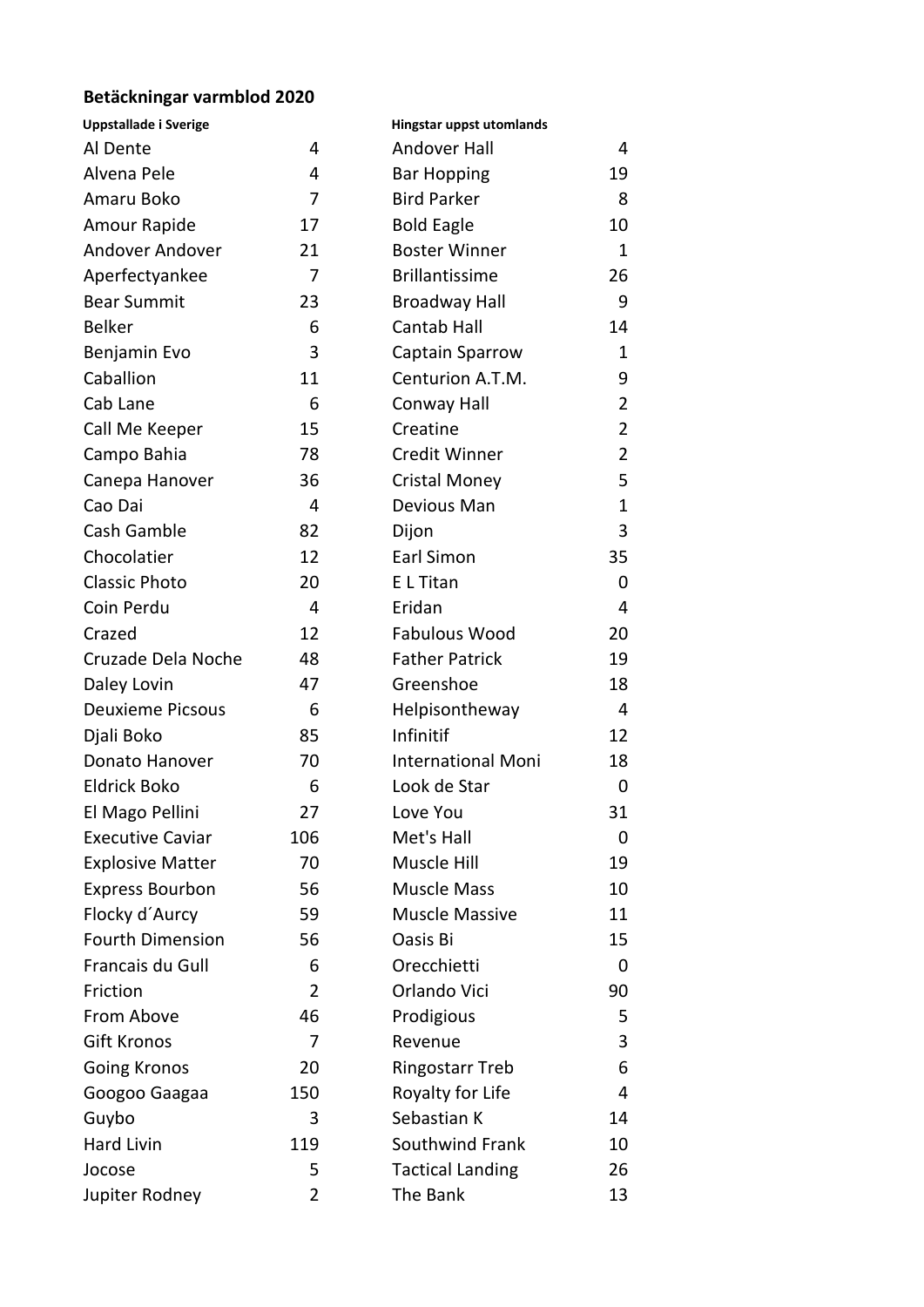## **Betäckningar varmblod 2020**

| Uppstallade i Sverige   |                | Hingstar uppst utomlands  |                |
|-------------------------|----------------|---------------------------|----------------|
| Al Dente                | 4              | <b>Andover Hall</b>       | 4              |
| Alvena Pele             | 4              | <b>Bar Hopping</b>        | 19             |
| Amaru Boko              | 7              | <b>Bird Parker</b>        | 8              |
| Amour Rapide            | 17             | <b>Bold Eagle</b>         | 10             |
| <b>Andover Andover</b>  | 21             | <b>Boster Winner</b>      | $\mathbf{1}$   |
| Aperfectyankee          | 7              | <b>Brillantissime</b>     | 26             |
| <b>Bear Summit</b>      | 23             | <b>Broadway Hall</b>      | 9              |
| <b>Belker</b>           | 6              | <b>Cantab Hall</b>        | 14             |
| Benjamin Evo            | 3              | Captain Sparrow           | 1              |
| Caballion               | 11             | Centurion A.T.M.          | 9              |
| Cab Lane                | 6              | <b>Conway Hall</b>        | $\overline{2}$ |
| Call Me Keeper          | 15             | Creatine                  | $\overline{2}$ |
| Campo Bahia             | 78             | Credit Winner             | $\overline{2}$ |
| Canepa Hanover          | 36             | <b>Cristal Money</b>      | 5              |
| Cao Dai                 | 4              | Devious Man               | $\mathbf{1}$   |
| Cash Gamble             | 82             | Dijon                     | 3              |
| Chocolatier             | 12             | <b>Earl Simon</b>         | 35             |
| <b>Classic Photo</b>    | 20             | E L Titan                 | 0              |
| Coin Perdu              | 4              | Eridan                    | 4              |
| Crazed                  | 12             | <b>Fabulous Wood</b>      | 20             |
| Cruzade Dela Noche      | 48             | <b>Father Patrick</b>     | 19             |
| Daley Lovin             | 47             | Greenshoe                 | 18             |
| <b>Deuxieme Picsous</b> | 6              | Helpisontheway            | 4              |
| Djali Boko              | 85             | Infinitif                 | 12             |
| Donato Hanover          | 70             | <b>International Moni</b> | 18             |
| <b>Eldrick Boko</b>     | 6              | Look de Star              | 0              |
| El Mago Pellini         | 27             | Love You                  | 31             |
| <b>Executive Caviar</b> | 106            | Met's Hall                | 0              |
| <b>Explosive Matter</b> | 70             | Muscle Hill               | 19             |
| <b>Express Bourbon</b>  | 56             | <b>Muscle Mass</b>        | 10             |
| Flocky d'Aurcy          | 59             | <b>Muscle Massive</b>     | 11             |
| <b>Fourth Dimension</b> | 56             | Oasis Bi                  | 15             |
| Francais du Gull        | 6              | Orecchietti               | 0              |
| Friction                | $\overline{2}$ | Orlando Vici              | 90             |
| From Above              | 46             | Prodigious                | 5              |
| <b>Gift Kronos</b>      | 7              | Revenue                   | 3              |
| <b>Going Kronos</b>     | 20             | <b>Ringostarr Treb</b>    | 6              |
| Googoo Gaagaa           | 150            | Royalty for Life          | 4              |
| Guybo                   | 3              | Sebastian K               | 14             |
| Hard Livin              | 119            | Southwind Frank           | 10             |
| Jocose                  | 5              | <b>Tactical Landing</b>   | 26             |
| Jupiter Rodney          | 2              | The Bank                  | 13             |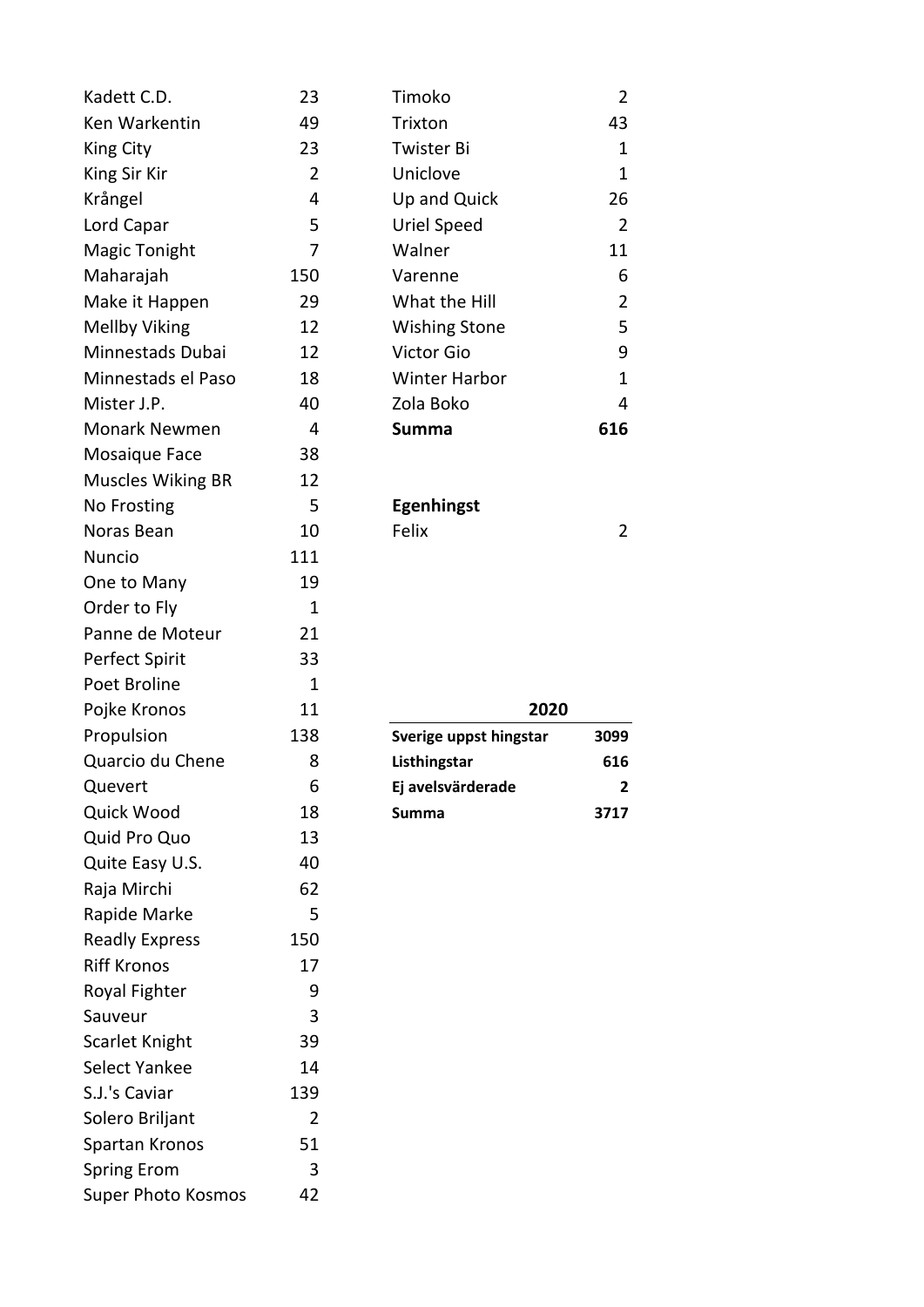| Kadett C.D.               | 23             | Timoko                 | $\overline{2}$          |
|---------------------------|----------------|------------------------|-------------------------|
| Ken Warkentin             | 49             | Trixton                | 43                      |
| <b>King City</b>          | 23             | <b>Twister Bi</b>      | $\mathbf{1}$            |
| King Sir Kir              | $\overline{2}$ | Uniclove               | $\overline{1}$          |
| Krångel                   | 4              | Up and Quick           | 26                      |
| Lord Capar                | 5              | <b>Uriel Speed</b>     | $\overline{2}$          |
| <b>Magic Tonight</b>      | 7              | Walner                 | 11                      |
| Maharajah                 | 150            | Varenne                | 6                       |
| Make it Happen            | 29             | What the Hill          | $\overline{2}$          |
| <b>Mellby Viking</b>      | 12             | <b>Wishing Stone</b>   | 5                       |
| Minnestads Dubai          | 12             | Victor Gio             | 9                       |
| Minnestads el Paso        | 18             | <b>Winter Harbor</b>   | $\overline{1}$          |
| Mister J.P.               | 40             | Zola Boko              | $\overline{4}$          |
| <b>Monark Newmen</b>      | 4              | <b>Summa</b>           | 616                     |
| Mosaique Face             | 38             |                        |                         |
| <b>Muscles Wiking BR</b>  | 12             |                        |                         |
| No Frosting               | 5              | <b>Egenhingst</b>      |                         |
| Noras Bean                | 10             | Felix                  | $\overline{\mathbf{c}}$ |
| Nuncio                    | 111            |                        |                         |
| One to Many               | 19             |                        |                         |
| Order to Fly              | 1              |                        |                         |
| Panne de Moteur           | 21             |                        |                         |
| <b>Perfect Spirit</b>     | 33             |                        |                         |
| Poet Broline              | $\mathbf{1}$   |                        |                         |
| Pojke Kronos              | 11             | 2020                   |                         |
| Propulsion                | 138            | Sverige uppst hingstar | 3099                    |
| Quarcio du Chene          | 8              | Listhingstar           | 616                     |
| Quevert                   | 6              | Ej avelsvärderade      | $\overline{2}$          |
| Quick Wood                | 18             | <b>Summa</b>           | 3717                    |
| Quid Pro Quo              | 13             |                        |                         |
| Quite Easy U.S.           | 40             |                        |                         |
| Raja Mirchi               | 62             |                        |                         |
| Rapide Marke              | 5              |                        |                         |
| <b>Readly Express</b>     | 150            |                        |                         |
| <b>Riff Kronos</b>        | 17             |                        |                         |
| Royal Fighter             | 9              |                        |                         |
| Sauveur                   | 3              |                        |                         |
| Scarlet Knight            | 39             |                        |                         |
| Select Yankee             | 14             |                        |                         |
| S.J.'s Caviar             | 139            |                        |                         |
| Solero Briljant           | 2              |                        |                         |
| Spartan Kronos            | 51             |                        |                         |
| <b>Spring Erom</b>        | 3              |                        |                         |
| <b>Super Photo Kosmos</b> | 42             |                        |                         |

| <b>Trixton</b>       | 43  |
|----------------------|-----|
| Twister Bi           | 1   |
| Uniclove             | 1   |
| Up and Quick         | 26  |
| Uriel Speed          | 2   |
| Walner               | 11  |
| Varenne              | Е   |
| What the Hill        | 2   |
| <b>Wishing Stone</b> | 5   |
| <b>Victor Gio</b>    | c   |
| <b>Winter Harbor</b> | 1   |
| Zola Boko            | 4   |
| Summa                | 616 |
|                      |     |

| Sverige uppst hingstar | 3099 |
|------------------------|------|
| Listhingstar           | 616  |
| Ej avelsvärderade      | 2    |
| <b>Summa</b>           | 3717 |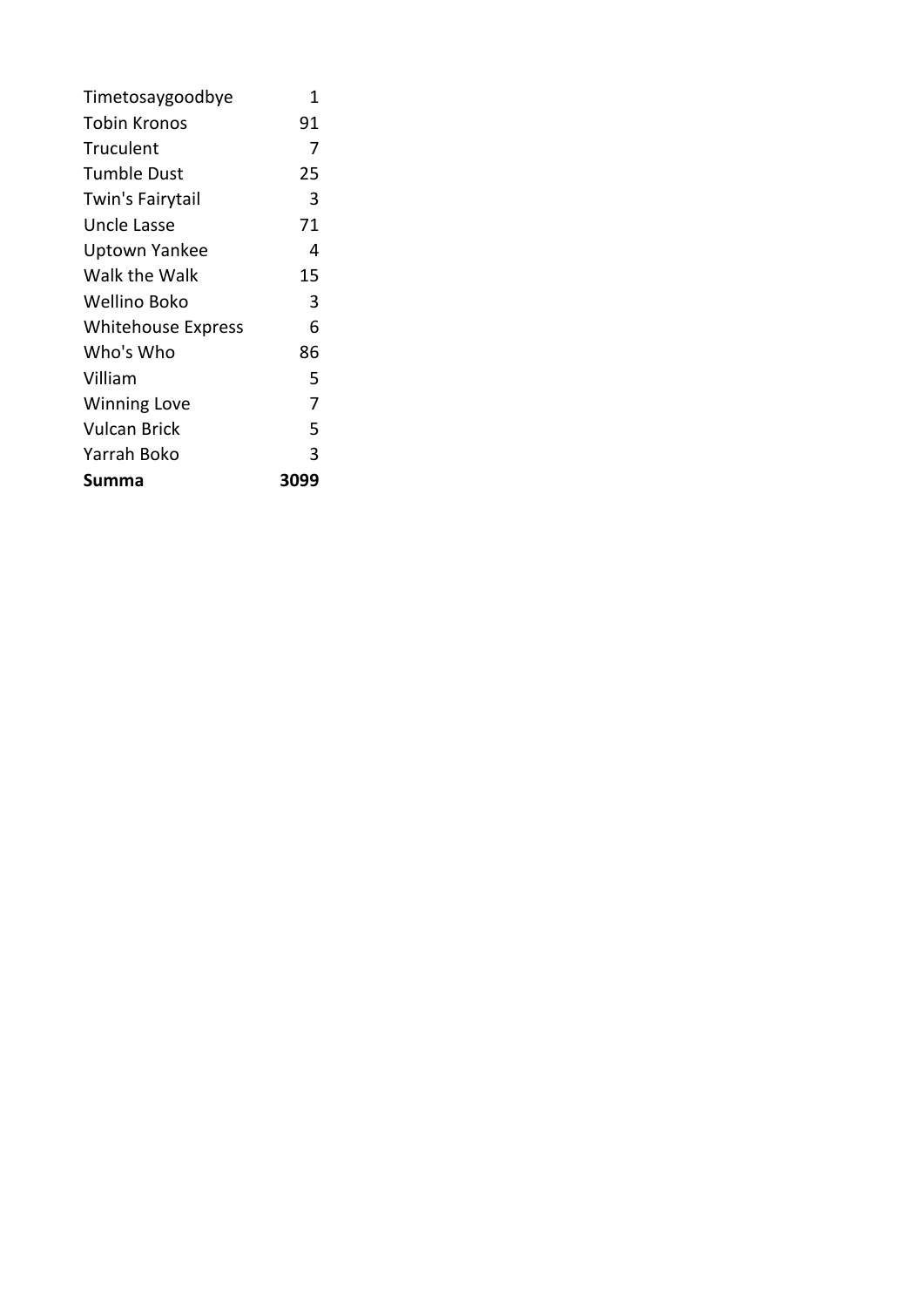| Timetosaygoodbye          | 1    |
|---------------------------|------|
| Tobin Kronos              | 91   |
| Truculent                 | 7    |
| <b>Tumble Dust</b>        | 25   |
| Twin's Fairytail          | 3    |
| Uncle Lasse               | 71   |
| Uptown Yankee             | 4    |
| Walk the Walk             | 15   |
| Wellino Boko              | 3    |
| <b>Whitehouse Express</b> | 6    |
| Who's Who                 | 86   |
| Villiam                   | 5    |
| <b>Winning Love</b>       | 7    |
| Vulcan Brick              | 5    |
| Yarrah Boko               | 3    |
| Summa                     | 3099 |